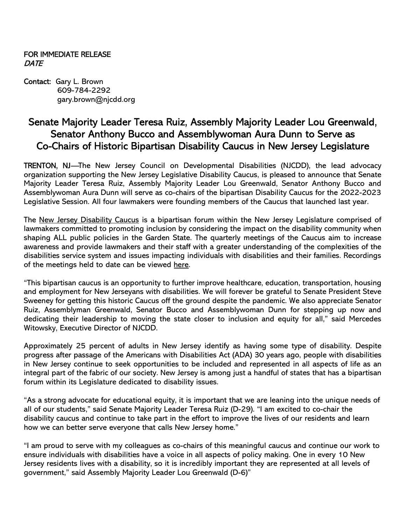## FOR IMMEDIATE RELEASE **DATE**

Contact: Gary L. Brown 609-784-2292 gary.brown@njcdd.org

# Senate Majority Leader Teresa Ruiz, Assembly Majority Leader Lou Greenwald, Senator Anthony Bucco and Assemblywoman Aura Dunn to Serve as Co-Chairs of Historic Bipartisan Disability Caucus in New Jersey Legislature

TRENTON, NJ—The New Jersey Council on Developmental Disabilities (NJCDD), the lead advocacy organization supporting the New Jersey Legislative Disability Caucus, is pleased to announce that Senate Majority Leader Teresa Ruiz, Assembly Majority Leader Lou Greenwald, Senator Anthony Bucco and Assemblywoman Aura Dunn will serve as co-chairs of the bipartisan Disability Caucus for the 2022-2023 Legislative Session. All four lawmakers were founding members of the Caucus that launched last year.

The New Jersey Disability Caucus is a bipartisan forum within the New Jersey Legislature comprised of lawmakers committed to promoting inclusion by considering the impact on the disability community when shaping ALL public policies in the Garden State. The quarterly meetings of the Caucus aim to increase awareness and provide lawmakers and their staff with a greater understanding of the complexities of the disabilities service system and issues impacting individuals with disabilities and their families. Recordings of the meetings held to date can be viewed here.

"This bipartisan caucus is an opportunity to further improve healthcare, education, transportation, housing and employment for New Jerseyans with disabilities. We will forever be grateful to Senate President Steve Sweeney for getting this historic Caucus off the ground despite the pandemic. We also appreciate Senator Ruiz, Assemblyman Greenwald, Senator Bucco and Assemblywoman Dunn for stepping up now and dedicating their leadership to moving the state closer to inclusion and equity for all," said Mercedes Witowsky, Executive Director of NJCDD.

Approximately 25 percent of adults in New Jersey identify as having some type of disability. Despite progress after passage of the Americans with Disabilities Act (ADA) 30 years ago, people with disabilities in New Jersey continue to seek opportunities to be included and represented in all aspects of life as an integral part of the fabric of our society. New Jersey is among just a handful of states that has a bipartisan forum within its Legislature dedicated to disability issues.

"As a strong advocate for educational equity, it is important that we are leaning into the unique needs of all of our students," said Senate Majority Leader Teresa Ruiz (D-29). "I am excited to co-chair the disability caucus and continue to take part in the effort to improve the lives of our residents and learn how we can better serve everyone that calls New Jersey home."

"I am proud to serve with my colleagues as co-chairs of this meaningful caucus and continue our work to ensure individuals with disabilities have a voice in all aspects of policy making. One in every 10 New Jersey residents lives with a disability, so it is incredibly important they are represented at all levels of government," said Assembly Majority Leader Lou Greenwald (D-6)"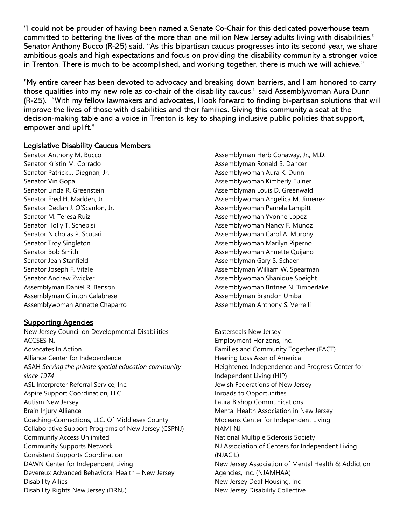"I could not be prouder of having been named a Senate Co-Chair for this dedicated powerhouse team committed to bettering the lives of the more than one million New Jersey adults living with disabilities," Senator Anthony Bucco (R-25) said. "As this bipartisan caucus progresses into its second year, we share ambitious goals and high expectations and focus on providing the disability community a stronger voice in Trenton. There is much to be accomplished, and working together, there is much we will achieve."

"My entire career has been devoted to advocacy and breaking down barriers, and I am honored to carry those qualities into my new role as co-chair of the disability caucus," said Assemblywoman Aura Dunn (R-25). "With my fellow lawmakers and advocates, I look forward to finding bi-partisan solutions that will improve the lives of those with disabilities and their families. Giving this community a seat at the decision-making table and a voice in Trenton is key to shaping inclusive public policies that support, empower and uplift."

#### Legislative Disability Caucus Members

Senator Anthony M. Bucco Senator Kristin M. Corrado Senator Patrick J. Diegnan, Jr. Senator Vin Gopal Senator Linda R. Greenstein Senator Fred H. Madden, Jr. Senator Declan J. O'Scanlon, Jr. Senator M. Teresa Ruiz Senator Holly T. Schepisi Senator Nicholas P. Scutari Senator Troy Singleton Senator Bob Smith Senator Jean Stanfield Senator Joseph F. Vitale Senator Andrew Zwicker Assemblyman Daniel R. Benson Assemblyman Clinton Calabrese Assemblywoman Annette Chaparro

## **Supporting Agencies**

New Jersey Council on Developmental Disabilities ACCSES NJ Advocates In Action Alliance Center for Independence ASAH Serving the private special education community since 1974 ASL Interpreter Referral Service, Inc. Aspire Support Coordination, LLC Autism New Jersey Brain Injury Alliance Coaching-Connections, LLC. Of Middlesex County Collaborative Support Programs of New Jersey (CSPNJ) Community Access Unlimited Community Supports Network Consistent Supports Coordination DAWN Center for Independent Living Devereux Advanced Behavioral Health – New Jersey Disability Allies Disability Rights New Jersey (DRNJ)

Assemblyman Herb Conaway, Jr., M.D. Assemblyman Ronald S. Dancer Assemblywoman Aura K. Dunn Assemblywoman Kimberly Eulner Assemblyman Louis D. Greenwald Assemblywoman Angelica M. Jimenez Assemblywoman Pamela Lampitt Assemblywoman Yvonne Lopez Assemblywoman Nancy F. Munoz Assemblywoman Carol A. Murphy Assemblywoman Marilyn Piperno Assemblywoman Annette Quijano Assemblyman Gary S. Schaer Assemblyman William W. Spearman Assemblywoman Shanique Speight Assemblywoman Britnee N. Timberlake Assemblyman Brandon Umba Assemblyman Anthony S. Verrelli

Easterseals New Jersey Employment Horizons, Inc. Families and Community Together (FACT) Hearing Loss Assn of America Heightened Independence and Progress Center for Independent Living (HIP) Jewish Federations of New Jersey Inroads to Opportunities Laura Bishop Communications Mental Health Association in New Jersey Moceans Center for Independent Living NAMI NJ National Multiple Sclerosis Society NJ Association of Centers for Independent Living (NJACIL) New Jersey Association of Mental Health & Addiction Agencies, Inc. (NJAMHAA) New Jersey Deaf Housing, Inc New Jersey Disability Collective